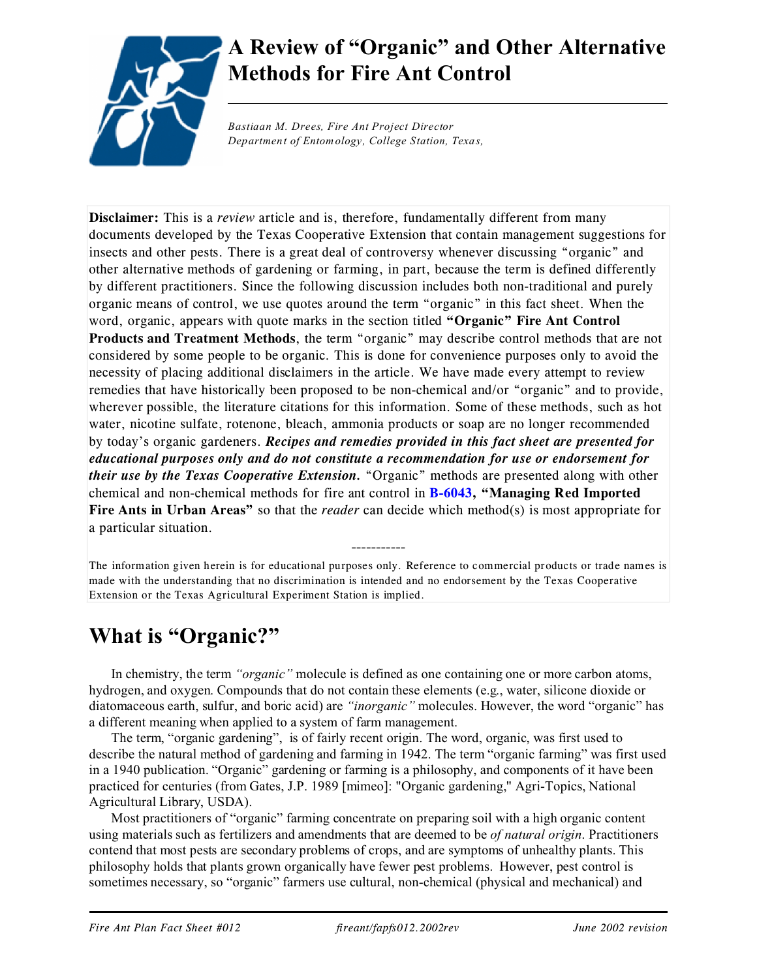

# **A Review of "Organic" and Other Alternative Methods for Fire Ant Control**

*Bastiaan M. Drees, Fire Ant Project Director Department of Entomology, College Station, Texas,*

**Disclaimer:** This is a *review* article and is, therefore, fundamentally different from many documents developed by the Texas Cooperative Extension that contain management suggestions for insects and other pests. There is a great deal of controversy whenever discussing "organic" and other alternative methods of gardening or farming, in part, because the term is defined differently by different practitioners. Since the following discussion includes both non-traditional and purely organic means of control, we use quotes around the term "organic" in this fact sheet. When the word, organic, appears with quote marks in the section titled **"Organic" Fire Ant Control Products and Treatment Methods**, the term "organic" may describe control methods that are not considered by some people to be organic. This is done for convenience purposes only to avoid the necessity of placing additional disclaimers in the article. We have made every attempt to review remedies that have historically been proposed to be non-chemical and/or "organic" and to provide, wherever possible, the literature citations for this information. Some of these methods, such as hot water, nicotine sulfate, rotenone, bleach, ammonia products or soap are no longer recommended by today's organic gardeners. *Recipes and remedies provided in this fact sheet are presented for educational purposes only and do not constitute a recommendation for use or endorsement for their use by the Texas Cooperative Extension.* "Organic" methods are presented along with other chemical and non-chemical methods for fire ant control in **[B-6043](http://agpublications.tamu.edu/pubs/ent/b6043.pdf), "Managing Red Imported Fire Ants in Urban Areas"** so that the *reader* can decide which method(s) is most appropriate for a particular situation.

The information given herein is for educational purposes only. Reference to commercial products or trade names is made with the understanding that no discrimination is intended and no endorsement by the Texas Cooperative Extension or the Texas Agricultural Experiment Station is implied.

-----------

## **What is "Organic?"**

In chemistry, the term *"organic"* molecule is defined as one containing one or more carbon atoms, hydrogen, and oxygen. Compounds that do not contain these elements (e.g., water, silicone dioxide or diatomaceous earth, sulfur, and boric acid) are *"inorganic"* molecules. However, the word "organic" has a different meaning when applied to a system of farm management.

The term, "organic gardening", is of fairly recent origin. The word, organic, was first used to describe the natural method of gardening and farming in 1942. The term "organic farming" was first used in a 1940 publication. "Organic" gardening or farming is a philosophy, and components of it have been practiced for centuries (from Gates, J.P. 1989 [mimeo]: "Organic gardening," Agri-Topics, National Agricultural Library, USDA).

Most practitioners of "organic" farming concentrate on preparing soil with a high organic content using materials such as fertilizers and amendments that are deemed to be *of natural origin*. Practitioners contend that most pests are secondary problems of crops, and are symptoms of unhealthy plants. This philosophy holds that plants grown organically have fewer pest problems. However, pest control is sometimes necessary, so "organic" farmers use cultural, non-chemical (physical and mechanical) and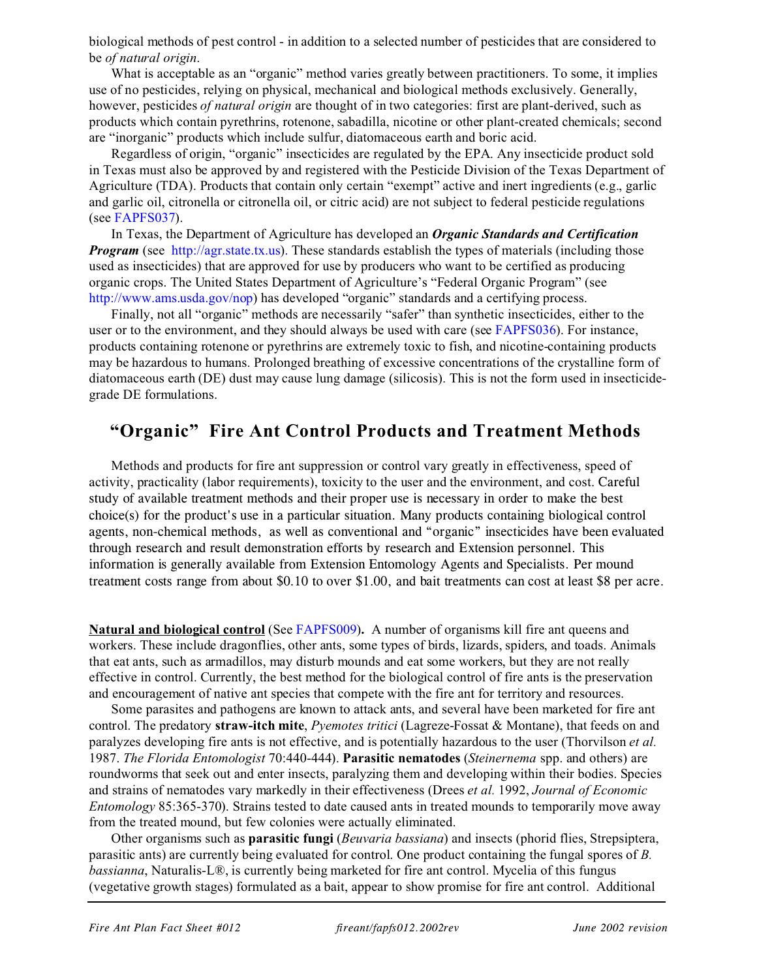biological methods of pest control - in addition to a selected number of pesticides that are considered to be *of natural origin*.

What is acceptable as an "organic" method varies greatly between practitioners. To some, it implies use of no pesticides, relying on physical, mechanical and biological methods exclusively. Generally, however, pesticides *of natural origin* are thought of in two categories: first are plant-derived, such as products which contain pyrethrins, rotenone, sabadilla, nicotine or other plant-created chemicals; second are "inorganic" products which include sulfur, diatomaceous earth and boric acid.

Regardless of origin, "organic" insecticides are regulated by the EPA. Any insecticide product sold in Texas must also be approved by and registered with the Pesticide Division of the Texas Department of Agriculture (TDA). Products that contain only certain "exempt" active and inert ingredients (e.g., garlic and garlic oil, citronella or citronella oil, or citric acid) are not subject to federal pesticide regulations (see [FAPFS037](http://fireant.tamu.edu/materials/factssheets/fapfs037.2002rev)).

In Texas, the Department of Agriculture has developed an *Organic Standards and Certification Program* (see <http://agr.state.tx.us>). These standards establish the types of materials (including those used as insecticides) that are approved for use by producers who want to be certified as producing organic crops. The United States Department of Agriculture's "Federal Organic Program" (see <http://www.ams.usda.gov/nop>) has developed "organic" standards and a certifying process.

Finally, not all "organic" methods are necessarily "safer" than synthetic insecticides, either to the user or to the environment, and they should always be used with care (see [FAPFS036](http://fireant.tamu.edu/materials/factssheets/fapfs036.2002rev.pdf)). For instance, products containing rotenone or pyrethrins are extremely toxic to fish, and nicotine-containing products may be hazardous to humans. Prolonged breathing of excessive concentrations of the crystalline form of diatomaceous earth (DE) dust may cause lung damage (silicosis). This is not the form used in insecticidegrade DE formulations.

## **"Organic" Fire Ant Control Products and Treatment Methods**

Methods and products for fire ant suppression or control vary greatly in effectiveness, speed of activity, practicality (labor requirements), toxicity to the user and the environment, and cost. Careful study of available treatment methods and their proper use is necessary in order to make the best choice(s) for the product's use in a particular situation. Many products containing biological control agents, non-chemical methods, as well as conventional and "organic" insecticides have been evaluated through research and result demonstration efforts by research and Extension personnel. This information is generally available from Extension Entomology Agents and Specialists. Per mound treatment costs range from about \$0.10 to over \$1.00, and bait treatments can cost at least \$8 per acre.

**Natural and biological control** (See [FAPFS009](http://fireant.tamu.edu/materials/factssheets/fapfs009.2002rev.pdf))**.** A number of organisms kill fire ant queens and workers. These include dragonflies, other ants, some types of birds, lizards, spiders, and toads. Animals that eat ants, such as armadillos, may disturb mounds and eat some workers, but they are not really effective in control. Currently, the best method for the biological control of fire ants is the preservation and encouragement of native ant species that compete with the fire ant for territory and resources.

Some parasites and pathogens are known to attack ants, and several have been marketed for fire ant control. The predatory **straw-itch mite**, *Pyemotes tritici* (Lagreze-Fossat & Montane), that feeds on and paralyzes developing fire ants is not effective, and is potentially hazardous to the user (Thorvilson *et al.* 1987. *The Florida Entomologist* 70:440-444). **Parasitic nematodes** (*Steinernema* spp. and others) are roundworms that seek out and enter insects, paralyzing them and developing within their bodies. Species and strains of nematodes vary markedly in their effectiveness (Drees *et al.* 1992, *Journal of Economic Entomology* 85:365-370). Strains tested to date caused ants in treated mounds to temporarily move away from the treated mound, but few colonies were actually eliminated.

Other organisms such as **parasitic fungi** (*Beuvaria bassiana*) and insects (phorid flies, Strepsiptera, parasitic ants) are currently being evaluated for control. One product containing the fungal spores of *B. bassianna*, Naturalis-L®, is currently being marketed for fire ant control. Mycelia of this fungus (vegetative growth stages) formulated as a bait, appear to show promise for fire ant control. Additional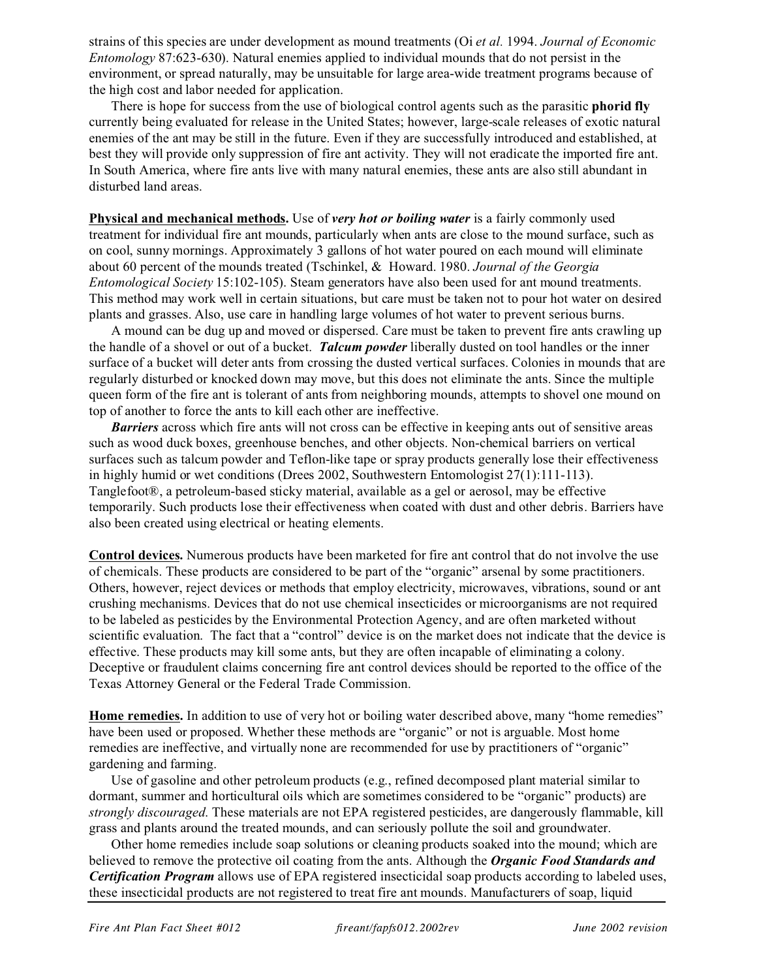strains of this species are under development as mound treatments (Oi *et al.* 1994. *Journal of Economic Entomology* 87:623-630). Natural enemies applied to individual mounds that do not persist in the environment, or spread naturally, may be unsuitable for large area-wide treatment programs because of the high cost and labor needed for application.

There is hope for success from the use of biological control agents such as the parasitic **phorid fly** currently being evaluated for release in the United States; however, large-scale releases of exotic natural enemies of the ant may be still in the future. Even if they are successfully introduced and established, at best they will provide only suppression of fire ant activity. They will not eradicate the imported fire ant. In South America, where fire ants live with many natural enemies, these ants are also still abundant in disturbed land areas.

**Physical and mechanical methods.** Use of *very hot or boiling water* is a fairly commonly used treatment for individual fire ant mounds, particularly when ants are close to the mound surface, such as on cool, sunny mornings. Approximately 3 gallons of hot water poured on each mound will eliminate about 60 percent of the mounds treated (Tschinkel, & Howard. 1980. *Journal of the Georgia Entomological Society* 15:102-105). Steam generators have also been used for ant mound treatments. This method may work well in certain situations, but care must be taken not to pour hot water on desired plants and grasses. Also, use care in handling large volumes of hot water to prevent serious burns.

A mound can be dug up and moved or dispersed. Care must be taken to prevent fire ants crawling up the handle of a shovel or out of a bucket. *Talcum powder* liberally dusted on tool handles or the inner surface of a bucket will deter ants from crossing the dusted vertical surfaces. Colonies in mounds that are regularly disturbed or knocked down may move, but this does not eliminate the ants. Since the multiple queen form of the fire ant is tolerant of ants from neighboring mounds, attempts to shovel one mound on top of another to force the ants to kill each other are ineffective.

*Barriers* across which fire ants will not cross can be effective in keeping ants out of sensitive areas such as wood duck boxes, greenhouse benches, and other objects. Non-chemical barriers on vertical surfaces such as talcum powder and Teflon-like tape or spray products generally lose their effectiveness in highly humid or wet conditions (Drees 2002, Southwestern Entomologist 27(1):111-113). Tanglefoot®, a petroleum-based sticky material, available as a gel or aerosol, may be effective temporarily. Such products lose their effectiveness when coated with dust and other debris. Barriers have also been created using electrical or heating elements.

**Control devices.** Numerous products have been marketed for fire ant control that do not involve the use of chemicals. These products are considered to be part of the "organic" arsenal by some practitioners. Others, however, reject devices or methods that employ electricity, microwaves, vibrations, sound or ant crushing mechanisms. Devices that do not use chemical insecticides or microorganisms are not required to be labeled as pesticides by the Environmental Protection Agency, and are often marketed without scientific evaluation. The fact that a "control" device is on the market does not indicate that the device is effective. These products may kill some ants, but they are often incapable of eliminating a colony. Deceptive or fraudulent claims concerning fire ant control devices should be reported to the office of the Texas Attorney General or the Federal Trade Commission.

**Home remedies.** In addition to use of very hot or boiling water described above, many "home remedies" have been used or proposed. Whether these methods are "organic" or not is arguable. Most home remedies are ineffective, and virtually none are recommended for use by practitioners of "organic" gardening and farming.

Use of gasoline and other petroleum products (e.g., refined decomposed plant material similar to dormant, summer and horticultural oils which are sometimes considered to be "organic" products) are *strongly discouraged*. These materials are not EPA registered pesticides, are dangerously flammable, kill grass and plants around the treated mounds, and can seriously pollute the soil and groundwater.

Other home remedies include soap solutions or cleaning products soaked into the mound; which are believed to remove the protective oil coating from the ants. Although the *Organic Food Standards and Certification Program* allows use of EPA registered insecticidal soap products according to labeled uses, these insecticidal products are not registered to treat fire ant mounds. Manufacturers of soap, liquid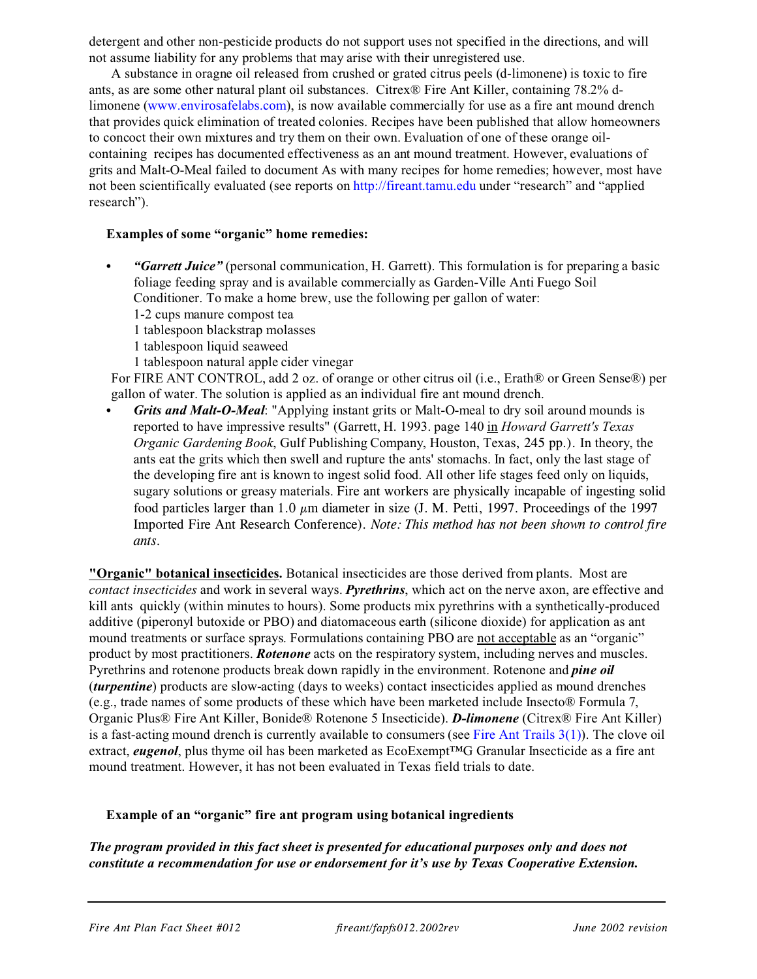detergent and other non-pesticide products do not support uses not specified in the directions, and will not assume liability for any problems that may arise with their unregistered use.

A substance in oragne oil released from crushed or grated citrus peels (d-limonene) is toxic to fire ants, as are some other natural plant oil substances. Citrex® Fire Ant Killer, containing 78.2% dlimonene [\(www.envirosafelabs.com](http://www.envirosafelabs.com)), is now available commercially for use as a fire ant mound drench that provides quick elimination of treated colonies. Recipes have been published that allow homeowners to concoct their own mixtures and try them on their own. Evaluation of one of these orange oilcontaining recipes has documented effectiveness as an ant mound treatment. However, evaluations of grits and Malt-O-Meal failed to document As with many recipes for home remedies; however, most have not been scientifically evaluated (see reports on<http://fireant.tamu.edu> under "research" and "applied research").

#### **Examples of some "organic" home remedies:**

- *"Garrett Juice"* (personal communication, H. Garrett). This formulation is for preparing a basic foliage feeding spray and is available commercially as Garden-Ville Anti Fuego Soil Conditioner. To make a home brew, use the following per gallon of water:
	- 1-2 cups manure compost tea
	- 1 tablespoon blackstrap molasses
	- 1 tablespoon liquid seaweed
	- 1 tablespoon natural apple cider vinegar

For FIRE ANT CONTROL, add 2 oz. of orange or other citrus oil (i.e., Erath® or Green Sense®) per gallon of water. The solution is applied as an individual fire ant mound drench.

Grits and Malt-O-Meal: "Applying instant grits or Malt-O-meal to dry soil around mounds is reported to have impressive results" (Garrett, H. 1993. page 140 in *Howard Garrett's Texas Organic Gardening Book*, Gulf Publishing Company, Houston, Texas, 245 pp.). In theory, the ants eat the grits which then swell and rupture the ants' stomachs. In fact, only the last stage of the developing fire ant is known to ingest solid food. All other life stages feed only on liquids, sugary solutions or greasy materials. Fire ant workers are physically incapable of ingesting solid food particles larger than 1.0  $\mu$ m diameter in size (J. M. Petti, 1997. Proceedings of the 1997 Imported Fire Ant Research Conference). *Note: This method has not been shown to control fire ants.*

**"Organic" botanical insecticides.** Botanical insecticides are those derived from plants. Most are *contact insecticides* and work in several ways. *Pyrethrins*, which act on the nerve axon, are effective and kill ants quickly (within minutes to hours). Some products mix pyrethrins with a synthetically-produced additive (piperonyl butoxide or PBO) and diatomaceous earth (silicone dioxide) for application as ant mound treatments or surface sprays. Formulations containing PBO are not acceptable as an "organic" product by most practitioners. *Rotenone* acts on the respiratory system, including nerves and muscles. Pyrethrins and rotenone products break down rapidly in the environment. Rotenone and *pine oil* (*turpentine*) products are slow-acting (days to weeks) contact insecticides applied as mound drenches (e.g., trade names of some products of these which have been marketed include Insecto® Formula 7, Organic Plus® Fire Ant Killer, Bonide® Rotenone 5 Insecticide). *D-limonene* (Citrex® Fire Ant Killer) is a fast-acting mound drench is currently available to consumers (see Fire Ant Trails  $3(1)$ ). The clove oil extract, *eugenol*, plus thyme oil has been marketed as EcoExempt™G Granular Insecticide as a fire ant mound treatment. However, it has not been evaluated in Texas field trials to date.

#### **Example of an "organic" fire ant program using botanical ingredients**

*The program provided in this fact sheet is presented for educational purposes only and does not constitute a recommendation for use or endorsement for it's use by Texas Cooperative Extension.*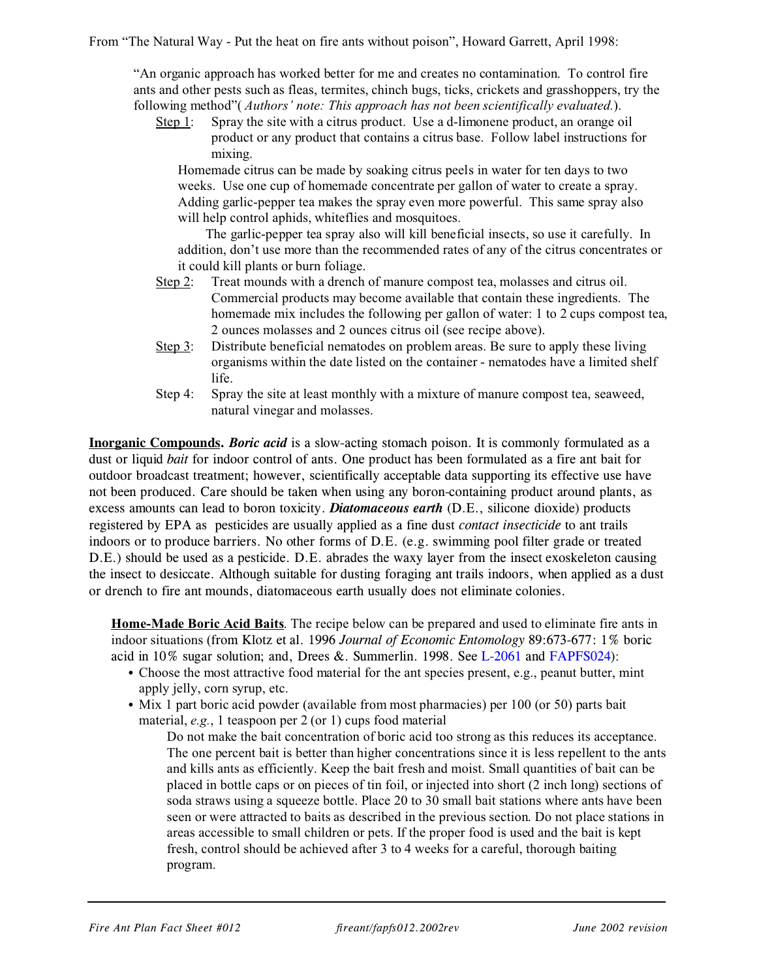From "The Natural Way - Put the heat on fire ants without poison", Howard Garrett, April 1998:

"An organic approach has worked better for me and creates no contamination. To control fire ants and other pests such as fleas, termites, chinch bugs, ticks, crickets and grasshoppers, try the following method"( *Authors' note: This approach has not been scientifically evaluated.*).

Step 1: Spray the site with a citrus product. Use a d-limonene product, an orange oil product or any product that contains a citrus base. Follow label instructions for mixing.

Homemade citrus can be made by soaking citrus peels in water for ten days to two weeks. Use one cup of homemade concentrate per gallon of water to create a spray. Adding garlic-pepper tea makes the spray even more powerful. This same spray also will help control aphids, whiteflies and mosquitoes.

The garlic-pepper tea spray also will kill beneficial insects, so use it carefully. In addition, don't use more than the recommended rates of any of the citrus concentrates or it could kill plants or burn foliage.

- Step 2: Treat mounds with a drench of manure compost tea, molasses and citrus oil. Commercial products may become available that contain these ingredients. The homemade mix includes the following per gallon of water: 1 to 2 cups compost tea, 2 ounces molasses and 2 ounces citrus oil (see recipe above).
- Step 3: Distribute beneficial nematodes on problem areas. Be sure to apply these living organisms within the date listed on the container - nematodes have a limited shelf life.
- Step 4: Spray the site at least monthly with a mixture of manure compost tea, seaweed, natural vinegar and molasses.

**Inorganic Compounds.** *Boric acid* is a slow-acting stomach poison. It is commonly formulated as a dust or liquid *bait* for indoor control of ants. One product has been formulated as a fire ant bait for outdoor broadcast treatment; however, scientifically acceptable data supporting its effective use have not been produced. Care should be taken when using any boron-containing product around plants, as excess amounts can lead to boron toxicity. *Diatomaceous earth* (D.E., silicone dioxide) products registered by EPA as pesticides are usually applied as a fine dust *contact insecticide* to ant trails indoors or to produce barriers. No other forms of D.E. (e.g. swimming pool filter grade or treated D.E.) should be used as a pesticide. D.E. abrades the waxy layer from the insect exoskeleton causing the insect to desiccate. Although suitable for dusting foraging ant trails indoors, when applied as a dust or drench to fire ant mounds, diatomaceous earth usually does not eliminate colonies.

**Home-Made Boric Acid Baits**. The recipe below can be prepared and used to eliminate fire ants in indoor situations (from Klotz et al. 1996 *Journal of Economic Entomology* 89:673-677: 1% boric acid in 10% sugar solution; and, Drees &. Summerlin. 1998. See [L-2061](http://agpublications.tamu.edu/pubs/ent/l2061.pdf) and [FAPFS024](http://fireant.tamu.edu/materials/factssheets/fapfs024.2002rev.pdf)):

- Choose the most attractive food material for the ant species present, e.g., peanut butter, mint apply jelly, corn syrup, etc.
- Mix 1 part boric acid powder (available from most pharmacies) per 100 (or 50) parts bait material, *e.g.*, 1 teaspoon per 2 (or 1) cups food material

Do not make the bait concentration of boric acid too strong as this reduces its acceptance. The one percent bait is better than higher concentrations since it is less repellent to the ants and kills ants as efficiently. Keep the bait fresh and moist. Small quantities of bait can be placed in bottle caps or on pieces of tin foil, or injected into short (2 inch long) sections of soda straws using a squeeze bottle. Place 20 to 30 small bait stations where ants have been seen or were attracted to baits as described in the previous section. Do not place stations in areas accessible to small children or pets. If the proper food is used and the bait is kept fresh, control should be achieved after 3 to 4 weeks for a careful, thorough baiting program.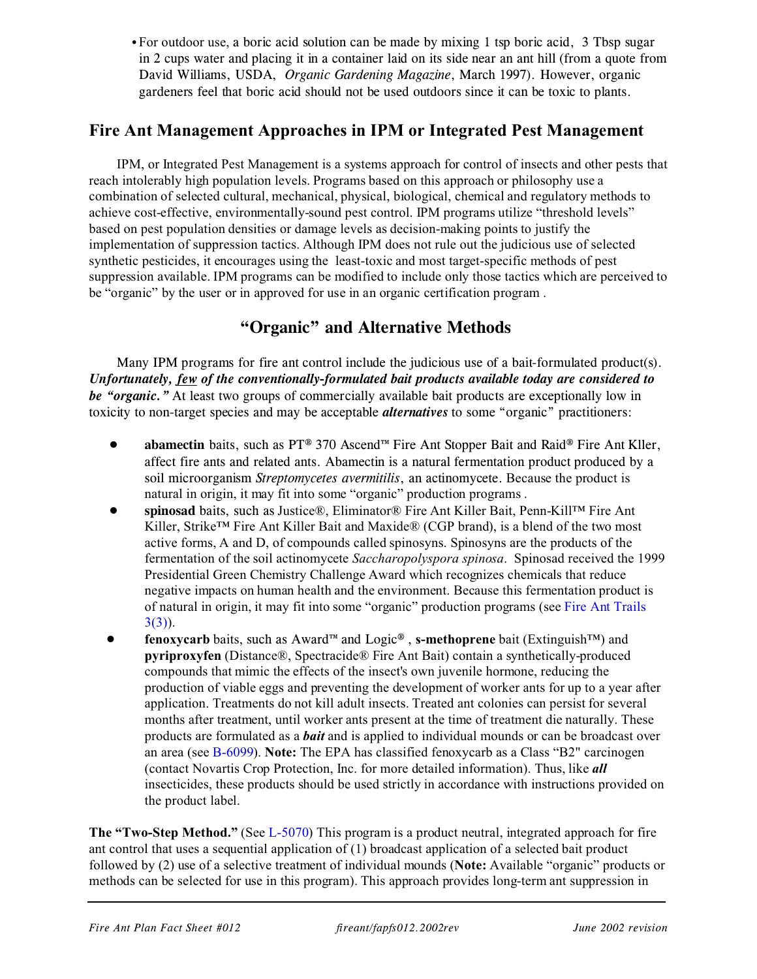• For outdoor use, a boric acid solution can be made by mixing 1 tsp boric acid, 3 Tbsp sugar in 2 cups water and placing it in a container laid on its side near an ant hill (from a quote from David Williams, USDA, *Organic Gardening Magazine*, March 1997). However, organic gardeners feel that boric acid should not be used outdoors since it can be toxic to plants.

### **Fire Ant Management Approaches in IPM or Integrated Pest Management**

IPM, or Integrated Pest Management is a systems approach for control of insects and other pests that reach intolerably high population levels. Programs based on this approach or philosophy use a combination of selected cultural, mechanical, physical, biological, chemical and regulatory methods to achieve cost-effective, environmentally-sound pest control. IPM programs utilize "threshold levels" based on pest population densities or damage levels as decision-making points to justify the implementation of suppression tactics. Although IPM does not rule out the judicious use of selected synthetic pesticides, it encourages using the least-toxic and most target-specific methods of pest suppression available. IPM programs can be modified to include only those tactics which are perceived to be "organic" by the user or in approved for use in an organic certification program .

## **"Organic" and Alternative Methods**

Many IPM programs for fire ant control include the judicious use of a bait-formulated product(s). *Unfortunately, few of the conventionally-formulated bait products available today are considered to be "organic."* At least two groups of commercially available bait products are exceptionally low in toxicity to non-target species and may be acceptable *alternatives* to some "organic" practitioners:

- ! **abamectin** baits, such as PT® 370 Ascend™ Fire Ant Stopper Bait and Raid® Fire Ant Kller, affect fire ants and related ants. Abamectin is a natural fermentation product produced by a soil microorganism *Streptomycetes avermitilis*, an actinomycete. Because the product is natural in origin, it may fit into some "organic" production programs .
- ! **spinosad** baits, such as Justice®, Eliminator® Fire Ant Killer Bait, Penn-Kill™ Fire Ant Killer, Strike™ Fire Ant Killer Bait and Maxide® (CGP brand), is a blend of the two most active forms, A and D, of compounds called spinosyns. Spinosyns are the products of the fermentation of the soil actinomycete *Saccharopolyspora spinosa*. Spinosad received the 1999 Presidential Green Chemistry Challenge Award which recognizes chemicals that reduce negative impacts on human health and the environment. Because this fermentation product is of natural in origin, it may fit into some "organic" production programs (see [Fire Ant Trails](http://fireant.tamu.edu/materials/marketing/fatrails3.003.htm) [3\(3\)](http://fireant.tamu.edu/materials/marketing/fatrails3.003.htm)).
- ! **fenoxycarb** baits, such as Award™ and Logic® , **s-methoprene** bait (Extinguish™) and **pyriproxyfen** (Distance®, Spectracide® Fire Ant Bait) contain a synthetically-produced compounds that mimic the effects of the insect's own juvenile hormone, reducing the production of viable eggs and preventing the development of worker ants for up to a year after application. Treatments do not kill adult insects. Treated ant colonies can persist for several months after treatment, until worker ants present at the time of treatment die naturally. These products are formulated as a *bait* and is applied to individual mounds or can be broadcast over an area (see [B-6099](http://agpublications.tamu.edu/pubs/ent/b6099.pdf)). **Note:** The EPA has classified fenoxycarb as a Class "B2" carcinogen (contact Novartis Crop Protection, Inc. for more detailed information). Thus, like *all* insecticides, these products should be used strictly in accordance with instructions provided on the product label.

**The "Two-Step Method."** (See [L-5070](http://agpublications.tamu.edu/pubs/ent/l5070.pdf)) This program is a product neutral, integrated approach for fire ant control that uses a sequential application of (1) broadcast application of a selected bait product followed by (2) use of a selective treatment of individual mounds (**Note:** Available "organic" products or methods can be selected for use in this program). This approach provides long-term ant suppression in